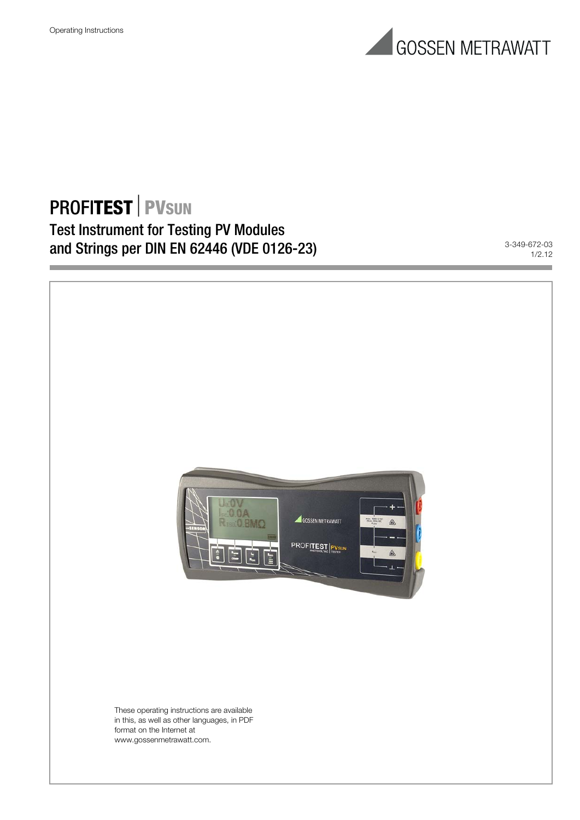

# **PROFITEST PVSUN** Test Instrument for Testing PV Modules and Strings per DIN EN 62446 (VDE 0126-23)

1/2.12

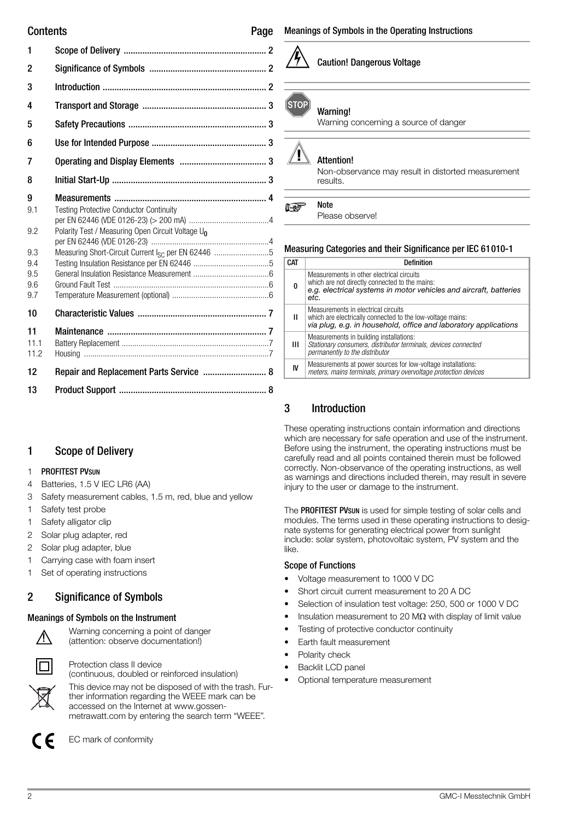| Contents                                           | Page                                                                                                                                                                              |
|----------------------------------------------------|-----------------------------------------------------------------------------------------------------------------------------------------------------------------------------------|
| 1                                                  |                                                                                                                                                                                   |
| 2                                                  |                                                                                                                                                                                   |
| 3                                                  |                                                                                                                                                                                   |
| 4                                                  |                                                                                                                                                                                   |
| 5                                                  |                                                                                                                                                                                   |
| 6                                                  |                                                                                                                                                                                   |
| 7                                                  |                                                                                                                                                                                   |
| 8                                                  |                                                                                                                                                                                   |
| 9<br>9.1<br>9.2<br>9.3<br>9.4<br>9.5<br>9.6<br>9.7 | <b>Testing Protective Conductor Continuity</b><br>Polarity Test / Measuring Open Circuit Voltage U <sub>0</sub><br>Measuring Short-Circuit Current I <sub>SC</sub> per EN 62446 5 |
| 10                                                 |                                                                                                                                                                                   |
| 11<br>11.1<br>11.2                                 |                                                                                                                                                                                   |
| 12                                                 | Repair and Replacement Parts Service  8                                                                                                                                           |
| 13                                                 |                                                                                                                                                                                   |

# <span id="page-1-0"></span>1 Scope of Delivery

#### 1 PROFITEST PVSUN

- 4 Batteries, 1.5 V IEC LR6 (AA)
- 3 Safety measurement cables, 1.5 m, red, blue and yellow
- 1 Safety test probe
- 1 Safety alligator clip
- 2 Solar plug adapter, red
- 2 Solar plug adapter, blue
- 1 Carrying case with foam insert
- 1 Set of operating instructions

# <span id="page-1-1"></span>2 Significance of Symbols

# Meanings of Symbols on the Instrument



(attention: observe documentation!)

Warning concerning a point of danger

Protection class II device (continuous, doubled or reinforced insulation) This device may not be disposed of with the trash. Further information regarding the WEEE mark can be accessed on the Internet at www.gossenmetrawatt.com by entering the search term "WEEE".

Caution! Dangerous Voltage

#### **STOP** Warning!

Warning concerning a source of danger

# Attention! **!**

Non-observance may result in distorted measurement results.

#### Note r te

Please observe!

# Measuring Categories and their Significance per IEC 61010-1

| <b>CAT</b> | Definition                                                                                                                                                               |
|------------|--------------------------------------------------------------------------------------------------------------------------------------------------------------------------|
| ŋ          | Measurements in other electrical circuits<br>which are not directly connected to the mains:<br>e.g. electrical systems in motor vehicles and aircraft, batteries<br>etc. |
| Ш          | Measurements in electrical circuits<br>which are electrically connected to the low-voltage mains:<br>via plug, e.g. in household, office and laboratory applications     |
| ш          | Measurements in building installations:<br>Stationary consumers, distributor terminals, devices connected<br>permanently to the distributor                              |
| IV         | Measurements at power sources for low-voltage installations:<br>meters, mains terminals, primary overvoltage protection devices                                          |

# <span id="page-1-2"></span>3 Introduction

These operating instructions contain information and directions which are necessary for safe operation and use of the instrument. Before using the instrument, the operating instructions must be carefully read and all points contained therein must be followed correctly. Non-observance of the operating instructions, as well as warnings and directions included therein, may result in severe injury to the user or damage to the instrument.

The PROFITEST PVsun is used for simple testing of solar cells and modules. The terms used in these operating instructions to designate systems for generating electrical power from sunlight include: solar system, photovoltaic system, PV system and the like.

### Scope of Functions

- Voltage measurement to 1000 V DC
- Short circuit current measurement to 20 A DC
- Selection of insulation test voltage: 250, 500 or 1000 V DC
- Insulation measurement to 20  $\text{M}\Omega$  with display of limit value
- Testing of protective conductor continuity
- Earth fault measurement
- Polarity check
- Backlit LCD panel
- Optional temperature measurement



EC mark of conformity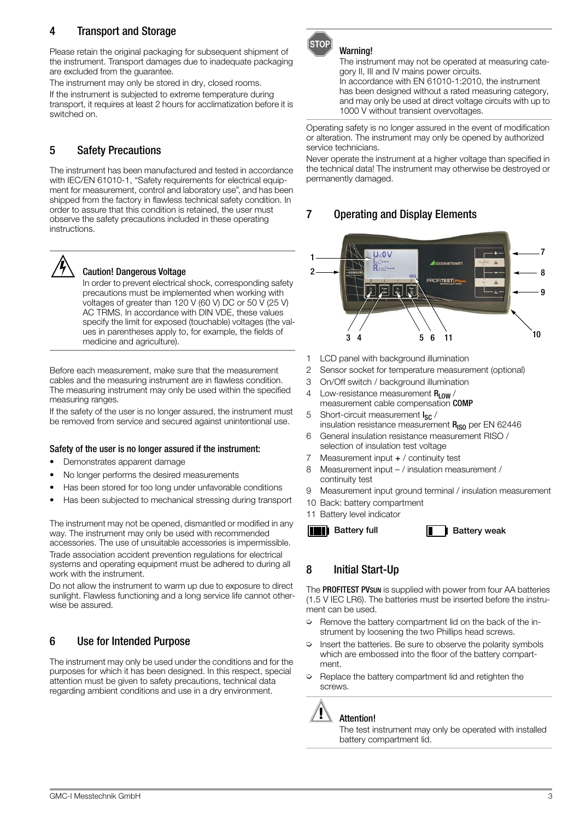# <span id="page-2-0"></span>4 Transport and Storage

Please retain the original packaging for subsequent shipment of the instrument. Transport damages due to inadequate packaging are excluded from the guarantee.

The instrument may only be stored in dry, closed rooms. If the instrument is subjected to extreme temperature during transport, it requires at least 2 hours for acclimatization before it is switched on.

# <span id="page-2-1"></span>5 Safety Precautions

The instrument has been manufactured and tested in accordance with IEC/EN 61010-1, "Safety requirements for electrical equipment for measurement, control and laboratory use", and has been shipped from the factory in flawless technical safety condition. In order to assure that this condition is retained, the user must observe the safety precautions included in these operating instructions.



#### Caution! Dangerous Voltage

In order to prevent electrical shock, corresponding safety precautions must be implemented when working with voltages of greater than 120 V (60 V) DC or 50 V (25 V) AC TRMS. In accordance with DIN VDE, these values specify the limit for exposed (touchable) voltages (the values in parentheses apply to, for example, the fields of medicine and agriculture).

Before each measurement, make sure that the measurement cables and the measuring instrument are in flawless condition. The measuring instrument may only be used within the specified measuring ranges.

If the safety of the user is no longer assured, the instrument must be removed from service and secured against unintentional use.

#### Safety of the user is no longer assured if the instrument:

- Demonstrates apparent damage
- No longer performs the desired measurements
- Has been stored for too long under unfavorable conditions
- Has been subjected to mechanical stressing during transport

The instrument may not be opened, dismantled or modified in any way. The instrument may only be used with recommended accessories. The use of unsuitable accessories is impermissible. Trade association accident prevention regulations for electrical

systems and operating equipment must be adhered to during all work with the instrument.

Do not allow the instrument to warm up due to exposure to direct sunlight. Flawless functioning and a long service life cannot otherwise be assured.

# <span id="page-2-2"></span>6 Use for Intended Purpose

The instrument may only be used under the conditions and for the purposes for which it has been designed. In this respect, special attention must be given to safety precautions, technical data regarding ambient conditions and use in a dry environment.



### Warning!

The instrument may not be operated at measuring category II, III and IV mains power circuits. In accordance with EN 61010-1:2010, the instrument has been designed without a rated measuring category, and may only be used at direct voltage circuits with up to 1000 V without transient overvoltages.

Operating safety is no longer assured in the event of modification or alteration. The instrument may only be opened by authorized service technicians.

Never operate the instrument at a higher voltage than specified in the technical data! The instrument may otherwise be destroyed or permanently damaged.

# <span id="page-2-3"></span>7 Operating and Display Elements



- 1 LCD panel with background illumination
- 2 Sensor socket for temperature measurement (optional)
- 3 On/Off switch / background illumination
- 4 Low-resistance measurement  $R_{LOM}$ measurement cable compensation COMP
- 5 Short-circuit measurement I<sub>SC</sub> / insulation resistance measurement  $R_{IS0}$  per EN 62446
- 6 General insulation resistance measurement RISO / selection of insulation test voltage
- 7 Measurement input + / continuity test
- 8 Measurement input / insulation measurement / continuity test
- 9 Measurement input ground terminal / insulation measurement
- 10 Back: battery compartment
- 11 Battery level indicator



# <span id="page-2-4"></span>8 Initial Start-Up

The PROFITEST PVsun is supplied with power from four AA batteries (1.5 V IEC LR6). The batteries must be inserted before the instrument can be used.

- ➭ Remove the battery compartment lid on the back of the instrument by loosening the two Phillips head screws.
- $\Rightarrow$  Insert the batteries. Be sure to observe the polarity symbols which are embossed into the floor of the battery compartment.
- ➭ Replace the battery compartment lid and retighten the screws.

### Attention! **!**

The test instrument may only be operated with installed battery compartment lid.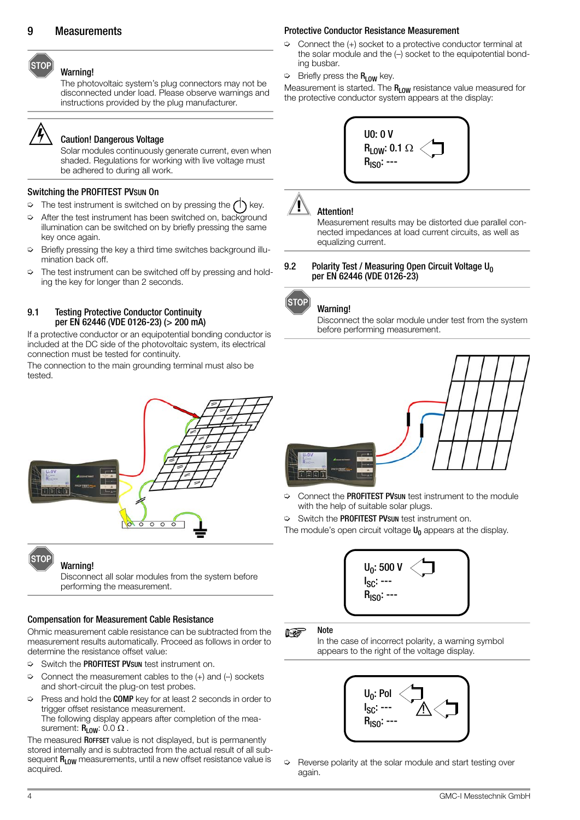#### Warning!

The photovoltaic system's plug connectors may not be disconnected under load. Please observe warnings and instructions provided by the plug manufacturer.



<span id="page-3-0"></span>**STOP** 

#### Caution! Dangerous Voltage

Solar modules continuously generate current, even when shaded. Regulations for working with live voltage must be adhered to during all work.

#### Switching the PROFITEST PVSUN On

- $\Rightarrow$  The test instrument is switched on by pressing the  $\bigcap$  key.
- $\Rightarrow$  After the test instrument has been switched on, background illumination can be switched on by briefly pressing the same key once again.
- ➭ Briefly pressing the key a third time switches background illumination back off.
- $\Rightarrow$  The test instrument can be switched off by pressing and holding the key for longer than 2 seconds.

#### <span id="page-3-1"></span>9.1 Testing Protective Conductor Continuity per EN 62446 (VDE 0126-23) (> 200 mA)

If a protective conductor or an equipotential bonding conductor is included at the DC side of the photovoltaic system, its electrical connection must be tested for continuity.

The connection to the main grounding terminal must also be tested.



## Warning!

**ÍSTOP** 

Disconnect all solar modules from the system before performing the measurement.

#### Compensation for Measurement Cable Resistance

Ohmic measurement cable resistance can be subtracted from the measurement results automatically. Proceed as follows in order to determine the resistance offset value:

- ➭ Switch the PROFITEST PVSUN test instrument on.
- $\Rightarrow$  Connect the measurement cables to the  $(+)$  and  $(-)$  sockets and short-circuit the plug-on test probes.
- $\Rightarrow$  Press and hold the COMP key for at least 2 seconds in order to trigger offset resistance measurement. The following display appears after completion of the measurement:  $R_{LOW}$ : 0.0  $\Omega$ .

The measured ROFFSET value is not displayed, but is permanently stored internally and is subtracted from the actual result of all subsequent R<sub>LOW</sub> measurements, until a new offset resistance value is acquired.

#### Protective Conductor Resistance Measurement

- $\Rightarrow$  Connect the  $(+)$  socket to a protective conductor terminal at the solar module and the (–) socket to the equipotential bonding busbar.
- $\triangleright$  Briefly press the  $R_{LOW}$  key.

Measurement is started. The  $R_{LOW}$  resistance value measured for the protective conductor system appears at the display:



# Attention! **!**

Measurement results may be distorted due parallel connected impedances at load current circuits, as well as equalizing current.

#### <span id="page-3-2"></span>9.2 Polarity Test / Measuring Open Circuit Voltage  $U_0$ per EN 62446 (VDE 0126-23)



#### Warning!

Disconnect the solar module under test from the system before performing measurement.



- ➭ Connect the PROFITEST PVSUN test instrument to the module with the help of suitable solar plugs.
- Switch the PROFITEST PVsun test instrument on.

The module's open circuit voltage  $U_0$  appears at the display.



#### **ISS Note**

In the case of incorrect polarity, a warning symbol appears to the right of the voltage display.



 $\Rightarrow$  Reverse polarity at the solar module and start testing over again.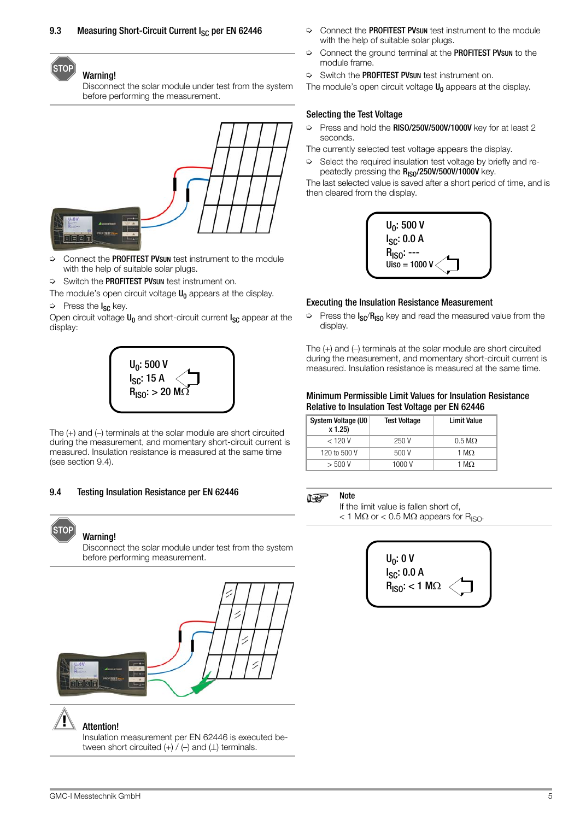#### <span id="page-4-0"></span>(STOP Warning!

Disconnect the solar module under test from the system before performing the measurement.



- ➭ Connect the PROFITEST PVSUN test instrument to the module with the help of suitable solar plugs.
- ➭ Switch the PROFITEST PVSUN test instrument on.

The module's open circuit voltage  $U_0$  appears at the display.

# **▷** Press the I<sub>SC</sub> key.

Open circuit voltage  $\sf{U}_0$  and short-circuit current  $\sf{I}_{\rm{SC}}$  appear at the display:



The (+) and (–) terminals at the solar module are short circuited during the measurement, and momentary short-circuit current is measured. Insulation resistance is measured at the same time (see [section 9.4](#page-4-1)).

#### <span id="page-4-1"></span>9.4 Testing Insulation Resistance per EN 62446



# Warning!

Disconnect the solar module under test from the system before performing measurement.



Insulation measurement per EN 62446 is executed between short circuited  $(+)$  /  $(-)$  and  $( \bot )$  terminals.

- $\Diamond$  Connect the **PROFITEST PVsun** test instrument to the module with the help of suitable solar plugs.
- ➭ Connect the ground terminal at the PROFITEST PVSUN to the module frame.
- $\Diamond$  Switch the **PROFITEST PVsun** test instrument on.

The module's open circuit voltage  $U_0$  appears at the display.

### Selecting the Test Voltage

➭ Press and hold the RISO/250V/500V/1000V key for at least 2 seconds.

The currently selected test voltage appears the display.

 $\Rightarrow$  Select the required insulation test voltage by briefly and repeatedly pressing the R<sub>ISO</sub>/250V/500V/1000V key.

The last selected value is saved after a short period of time, and is then cleared from the display.



#### Executing the Insulation Resistance Measurement

 $\triangleright$  Press the  $I_{SC}/R_{ISO}$  key and read the measured value from the display.

The (+) and (–) terminals at the solar module are short circuited during the measurement, and momentary short-circuit current is measured. Insulation resistance is measured at the same time.

#### Minimum Permissible Limit Values for Insulation Resistance Relative to Insulation Test Voltage per EN 62446

| System Voltage (U0<br>x 1.25) | <b>Test Voltage</b> | <b>Limit Value</b>    |
|-------------------------------|---------------------|-----------------------|
| $<$ 120 V                     | 250 V               | $0.5 \text{ M}\Omega$ |
| 120 to 500 V                  | 500V                | 1 MO.                 |
| $>$ 500 V                     | 1000 V              | 1 M.O.                |

#### Note rt.

If the limit value is fallen short of,  $<$  1 M $\Omega$  or  $<$  0.5 M $\Omega$  appears for R<sub>ISO</sub>.

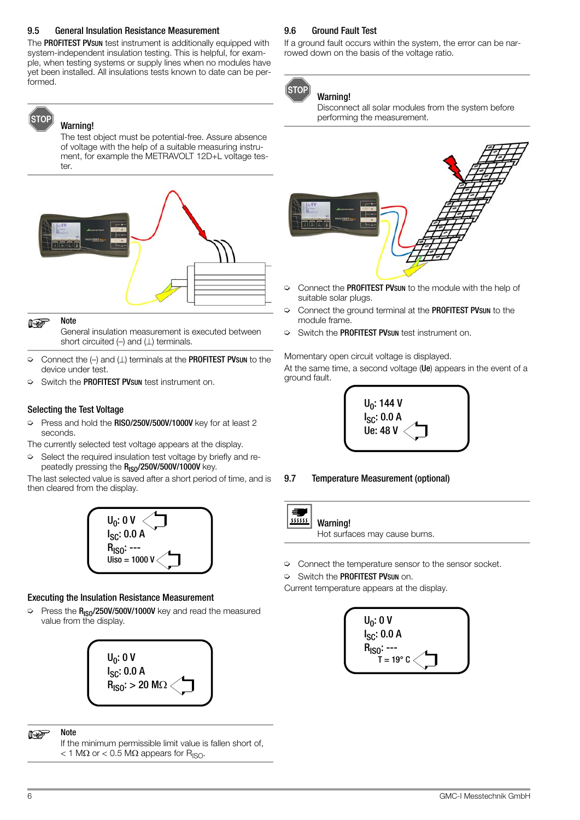#### <span id="page-5-0"></span>9.5 General Insulation Resistance Measurement

The PROFITEST PVsun test instrument is additionally equipped with system-independent insulation testing. This is helpful, for example, when testing systems or supply lines when no modules have yet been installed. All insulations tests known to date can be performed.

# ÍSTOP

### Warning!

The test object must be potential-free. Assure absence of voltage with the help of a suitable measuring instrument, for example the METRAVOLT 12D+L voltage tester.



#### Note  $\mathbb{R}$

General insulation measurement is executed between short circuited  $(-)$  and  $( \perp )$  terminals.

- $\Rightarrow$  Connect the (-) and ( $\perp$ ) terminals at the **PROFITEST PVsun** to the device under test.
- ➭ Switch the PROFITEST PVSUN test instrument on.

#### Selecting the Test Voltage

- ➭ Press and hold the RISO/250V/500V/1000V key for at least 2 seconds.
- The currently selected test voltage appears at the display.
- $\Rightarrow$  Select the required insulation test voltage by briefly and repeatedly pressing the R<sub>ISO</sub>/250V/500V/1000V key.

The last selected value is saved after a short period of time, and is then cleared from the display.



#### Executing the Insulation Resistance Measurement

 $\Rightarrow$  Press the  $R_{ISO}/250V/500V/1000V$  key and read the measured value from the display.



#### **Note ISS**

If the minimum permissible limit value is fallen short of,  $<$  1 M $\Omega$  or  $<$  0.5 M $\Omega$  appears for R<sub>ISO</sub>.

#### <span id="page-5-1"></span>9.6 Ground Fault Test

If a ground fault occurs within the system, the error can be narrowed down on the basis of the voltage ratio.



# Warning!

Disconnect all solar modules from the system before performing the measurement.



- ➭ Connect the PROFITEST PVSUN to the module with the help of suitable solar plugs.
- ➭ Connect the ground terminal at the PROFITEST PVSUN to the module frame.
- ➭ Switch the PROFITEST PVSUN test instrument on.

Momentary open circuit voltage is displayed.

At the same time, a second voltage (Ue) appears in the event of a ground fault.



9.7 Temperature Measurement (optional)

#### <span id="page-5-2"></span> $\equiv$  $\overline{m}$ Warning!

Hot surfaces may cause burns.

- $\heartsuit$  Connect the temperature sensor to the sensor socket.
- ➭ Switch the PROFITEST PVSUN on.

Current temperature appears at the display.

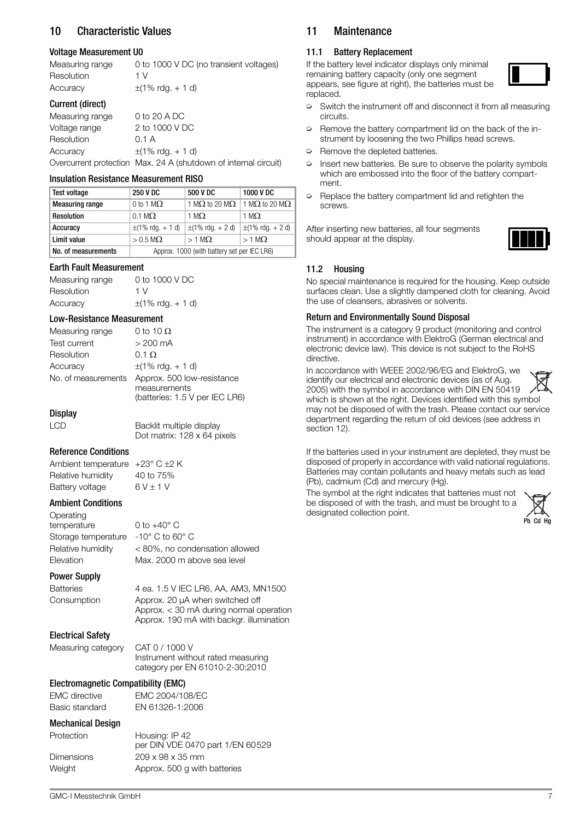# <span id="page-6-0"></span>10 Characteristic Values

#### Voltage Measurement U0

| Measuring range  | 0 to 1000 V DC (no transient voltages) |
|------------------|----------------------------------------|
| Resolution       | 1 V                                    |
| Accuracy         | $\pm$ (1% rdg. + 1 d)                  |
| Current (direct) |                                        |
| Measuring range  | 0 to 20 A DC                           |
| Voltage range    | 2 to 1000 V DC                         |
| Resolution       | 0.1 A                                  |
| Accuracy         | $\pm$ (1% rdg. + 1 d)                  |

Overcurrent protection Max. 24 A (shutdown of internal circuit)

#### Insulation Resistance Measurement RISO

| <b>Test voltage</b>    | <b>250 V DC</b>                             | 500 V DC                      | 1000 V DC                     |
|------------------------|---------------------------------------------|-------------------------------|-------------------------------|
| <b>Measuring range</b> | 0 to 1 M $\Omega$                           | 1 M $\Omega$ to 20 M $\Omega$ | 1 M $\Omega$ to 20 M $\Omega$ |
| Resolution             | $0.1 \text{ M}\Omega$                       | 1 M $\Omega$                  | 1 M $\Omega$                  |
| Accuracy               | $\pm$ (1% rdg. + 1 d)                       | $\pm$ (1% rdg. + 2 d)         | $\pm$ (1% rdg. + 2 d)         |
| Limit value            | $> 0.5$ M $\Omega$                          | $>1$ MO.                      | $>1$ M $\Omega$               |
| No. of measurements    | Approx. 1000 (with battery set per IEC LR6) |                               |                               |

#### Earth Fault Measurement

Measuring range 0 to 1000 V DC Resolution 1 V Accuracy  $\pm (1\% \text{ rdg.} + 1 \text{ d})$ 

#### Low-Resistance Measurement

| Measuring range     | 0 to 10 $\Omega$                           |
|---------------------|--------------------------------------------|
| <b>Test current</b> | $>200$ mA                                  |
| Resolution          | $0.1 \Omega$                               |
| Accuracy            | $\pm$ (1% rdg. + 1 d)                      |
| No. of measurements | Approx. 500 low-resistance<br>measurements |
|                     | (batteries: 1.5 V per IEC LR6)             |

# **Display**

LCD Backlit multiple display Dot matrix: 128 x 64 pixels

### Reference Conditions

Ambient temperature  $+23^{\circ}$  C  $\pm 2$  K Relative humidity 40 to 75% Battery voltage  $6V \pm 1$  V

#### Ambient Conditions

Operating temperature 0 to +40° C Storage temperature -10° C to 60° C Relative humidity < 80%, no condensation allowed Elevation Max. 2000 m above sea level

Power Supply

Batteries 4 ea. 1.5 V IEC LR6, AA, AM3, MN1500 Consumption Approx. 20 μA when switched off

#### Electrical Safety

Measuring category CAT 0 / 1000 V

Instrument without rated measuring category per EN 61010-2-30:2010

Approx. < 30 mA during normal operation Approx. 190 mA with backgr. illumination

#### Electromagnetic Compatibility (EMC)

| EMC directive  | EMC 2004/108/EC |
|----------------|-----------------|
| Basic standard | EN 61326-1:2006 |

#### Mechanical Design

| Protection | Housing: IP 42                   |
|------------|----------------------------------|
|            | per DIN VDE 0470 part 1/EN 60529 |
| Dimensions | $209 \times 98 \times 35$ mm     |
| Weight     | Approx. 500 g with batteries     |

### <span id="page-6-1"></span>11 Maintenance

#### <span id="page-6-2"></span>11.1 Battery Replacement

If the battery level indicator displays only minimal remaining battery capacity (only one segment appears, see figure at right), the batteries must be replaced.



- $\Rightarrow$  Switch the instrument off and disconnect it from all measuring circuits.
- $\Rightarrow$  Remove the battery compartment lid on the back of the instrument by loosening the two Phillips head screws.
- $\Leftrightarrow$  Remove the depleted batteries.
- Insert new batteries. Be sure to observe the polarity symbols which are embossed into the floor of the battery compartment.
- ➭ Replace the battery compartment lid and retighten the screws.

After inserting new batteries, all four segments should appear at the display.



#### <span id="page-6-3"></span>11.2 Housing

No special maintenance is required for the housing. Keep outside surfaces clean. Use a slightly dampened cloth for cleaning. Avoid the use of cleansers, abrasives or solvents.

### Return and Environmentally Sound Disposal

The instrument is a category 9 product (monitoring and control instrument) in accordance with ElektroG (German electrical and electronic device law). This device is not subject to the RoHS directive.

In accordance with WEEE 2002/96/EG and ElektroG, we identify our electrical and electronic devices (as of Aug. 2005) with the symbol in accordance with DIN EN 50419 which is shown at the right. Devices identified with this symbol may not be disposed of with the trash. Please contact our service department regarding the return of old devices (see address in [section 12\)](#page-7-0).

If the batteries used in your instrument are depleted, they must be disposed of properly in accordance with valid national regulations. Batteries may contain pollutants and heavy metals such as lead (Pb), cadmium (Cd) and mercury (Hg).

The symbol at the right indicates that batteries must not be disposed of with the trash, and must be brought to a designated collection point.